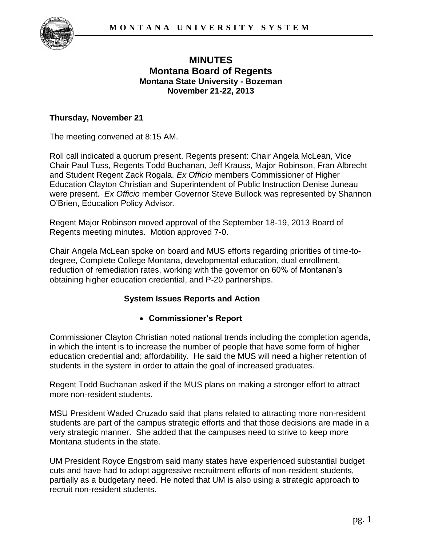

# **MINUTES Montana Board of Regents Montana State University - Bozeman November 21-22, 2013**

### **Thursday, November 21**

The meeting convened at 8:15 AM.

Roll call indicated a quorum present. Regents present: Chair Angela McLean, Vice Chair Paul Tuss, Regents Todd Buchanan, Jeff Krauss, Major Robinson, Fran Albrecht and Student Regent Zack Rogala. *Ex Officio* members Commissioner of Higher Education Clayton Christian and Superintendent of Public Instruction Denise Juneau were present. *Ex Officio* member Governor Steve Bullock was represented by Shannon O'Brien, Education Policy Advisor.

Regent Major Robinson moved approval of the September 18-19, 2013 Board of Regents meeting minutes. Motion approved 7-0.

Chair Angela McLean spoke on board and MUS efforts regarding priorities of time-todegree, Complete College Montana, developmental education, dual enrollment, reduction of remediation rates, working with the governor on 60% of Montanan's obtaining higher education credential, and P-20 partnerships.

## **System Issues Reports and Action**

## **Commissioner's Report**

Commissioner Clayton Christian noted national trends including the completion agenda, in which the intent is to increase the number of people that have some form of higher education credential and; affordability. He said the MUS will need a higher retention of students in the system in order to attain the goal of increased graduates.

Regent Todd Buchanan asked if the MUS plans on making a stronger effort to attract more non-resident students.

MSU President Waded Cruzado said that plans related to attracting more non-resident students are part of the campus strategic efforts and that those decisions are made in a very strategic manner. She added that the campuses need to strive to keep more Montana students in the state.

UM President Royce Engstrom said many states have experienced substantial budget cuts and have had to adopt aggressive recruitment efforts of non-resident students, partially as a budgetary need. He noted that UM is also using a strategic approach to recruit non-resident students.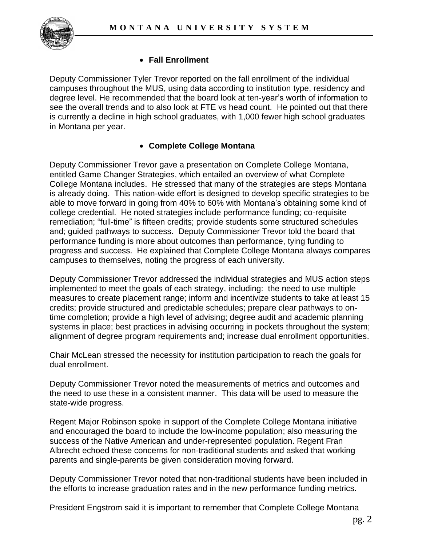

## **Fall Enrollment**

Deputy Commissioner Tyler Trevor reported on the fall enrollment of the individual campuses throughout the MUS, using data according to institution type, residency and degree level. He recommended that the board look at ten-year's worth of information to see the overall trends and to also look at FTE vs head count. He pointed out that there is currently a decline in high school graduates, with 1,000 fewer high school graduates in Montana per year.

#### **Complete College Montana**

Deputy Commissioner Trevor gave a presentation on Complete College Montana, entitled Game Changer Strategies, which entailed an overview of what Complete College Montana includes. He stressed that many of the strategies are steps Montana is already doing. This nation-wide effort is designed to develop specific strategies to be able to move forward in going from 40% to 60% with Montana's obtaining some kind of college credential. He noted strategies include performance funding; co-requisite remediation; "full-time" is fifteen credits; provide students some structured schedules and; guided pathways to success. Deputy Commissioner Trevor told the board that performance funding is more about outcomes than performance, tying funding to progress and success. He explained that Complete College Montana always compares campuses to themselves, noting the progress of each university.

Deputy Commissioner Trevor addressed the individual strategies and MUS action steps implemented to meet the goals of each strategy, including: the need to use multiple measures to create placement range; inform and incentivize students to take at least 15 credits; provide structured and predictable schedules; prepare clear pathways to ontime completion; provide a high level of advising; degree audit and academic planning systems in place; best practices in advising occurring in pockets throughout the system; alignment of degree program requirements and; increase dual enrollment opportunities.

Chair McLean stressed the necessity for institution participation to reach the goals for dual enrollment.

Deputy Commissioner Trevor noted the measurements of metrics and outcomes and the need to use these in a consistent manner. This data will be used to measure the state-wide progress.

Regent Major Robinson spoke in support of the Complete College Montana initiative and encouraged the board to include the low-income population; also measuring the success of the Native American and under-represented population. Regent Fran Albrecht echoed these concerns for non-traditional students and asked that working parents and single-parents be given consideration moving forward.

Deputy Commissioner Trevor noted that non-traditional students have been included in the efforts to increase graduation rates and in the new performance funding metrics.

President Engstrom said it is important to remember that Complete College Montana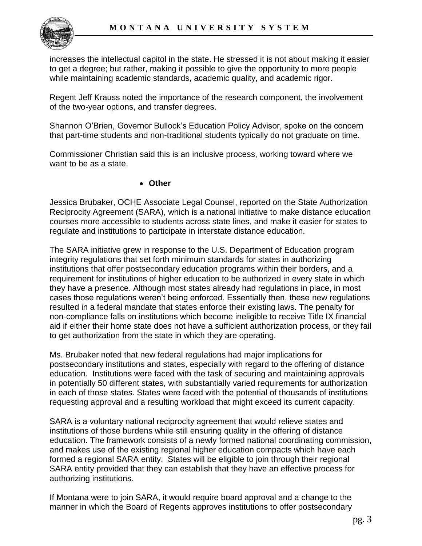

increases the intellectual capitol in the state. He stressed it is not about making it easier to get a degree; but rather, making it possible to give the opportunity to more people while maintaining academic standards, academic quality, and academic rigor.

Regent Jeff Krauss noted the importance of the research component, the involvement of the two-year options, and transfer degrees.

Shannon O'Brien, Governor Bullock's Education Policy Advisor, spoke on the concern that part-time students and non-traditional students typically do not graduate on time.

Commissioner Christian said this is an inclusive process, working toward where we want to be as a state.

#### **Other**

Jessica Brubaker, OCHE Associate Legal Counsel, reported on the State Authorization Reciprocity Agreement (SARA), which is a national initiative to make distance education courses more accessible to students across state lines, and make it easier for states to regulate and institutions to participate in interstate distance education.

The SARA initiative grew in response to the U.S. Department of Education program integrity regulations that set forth minimum standards for states in authorizing institutions that offer postsecondary education programs within their borders, and a requirement for institutions of higher education to be authorized in every state in which they have a presence. Although most states already had regulations in place, in most cases those regulations weren't being enforced. Essentially then, these new regulations resulted in a federal mandate that states enforce their existing laws. The penalty for non-compliance falls on institutions which become ineligible to receive Title IX financial aid if either their home state does not have a sufficient authorization process, or they fail to get authorization from the state in which they are operating.

Ms. Brubaker noted that new federal regulations had major implications for postsecondary institutions and states, especially with regard to the offering of distance education. Institutions were faced with the task of securing and maintaining approvals in potentially 50 different states, with substantially varied requirements for authorization in each of those states. States were faced with the potential of thousands of institutions requesting approval and a resulting workload that might exceed its current capacity.

SARA is a voluntary national reciprocity agreement that would relieve states and institutions of those burdens while still ensuring quality in the offering of distance education. The framework consists of a newly formed national coordinating commission, and makes use of the existing regional higher education compacts which have each formed a regional SARA entity. States will be eligible to join through their regional SARA entity provided that they can establish that they have an effective process for authorizing institutions.

If Montana were to join SARA, it would require board approval and a change to the manner in which the Board of Regents approves institutions to offer postsecondary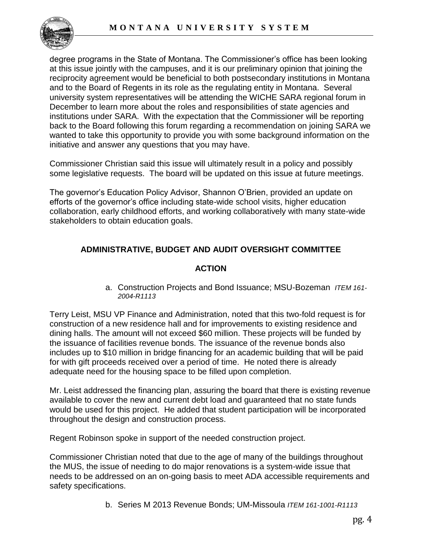

degree programs in the State of Montana. The Commissioner's office has been looking at this issue jointly with the campuses, and it is our preliminary opinion that joining the reciprocity agreement would be beneficial to both postsecondary institutions in Montana and to the Board of Regents in its role as the regulating entity in Montana. Several university system representatives will be attending the WICHE SARA regional forum in December to learn more about the roles and responsibilities of state agencies and institutions under SARA. With the expectation that the Commissioner will be reporting back to the Board following this forum regarding a recommendation on joining SARA we wanted to take this opportunity to provide you with some background information on the initiative and answer any questions that you may have.

Commissioner Christian said this issue will ultimately result in a policy and possibly some legislative requests. The board will be updated on this issue at future meetings.

The governor's Education Policy Advisor, Shannon O'Brien, provided an update on efforts of the governor's office including state-wide school visits, higher education collaboration, early childhood efforts, and working collaboratively with many state-wide stakeholders to obtain education goals.

# **ADMINISTRATIVE, BUDGET AND AUDIT OVERSIGHT COMMITTEE**

#### **ACTION**

a. Construction Projects and Bond Issuance; MSU-Bozeman *ITEM 161- 2004-R1113*

Terry Leist, MSU VP Finance and Administration, noted that this two-fold request is for construction of a new residence hall and for improvements to existing residence and dining halls. The amount will not exceed \$60 million. These projects will be funded by the issuance of facilities revenue bonds. The issuance of the revenue bonds also includes up to \$10 million in bridge financing for an academic building that will be paid for with gift proceeds received over a period of time. He noted there is already adequate need for the housing space to be filled upon completion.

Mr. Leist addressed the financing plan, assuring the board that there is existing revenue available to cover the new and current debt load and guaranteed that no state funds would be used for this project. He added that student participation will be incorporated throughout the design and construction process.

Regent Robinson spoke in support of the needed construction project.

Commissioner Christian noted that due to the age of many of the buildings throughout the MUS, the issue of needing to do major renovations is a system-wide issue that needs to be addressed on an on-going basis to meet ADA accessible requirements and safety specifications.

b. Series M 2013 Revenue Bonds; UM-Missoula *ITEM 161-1001-R1113*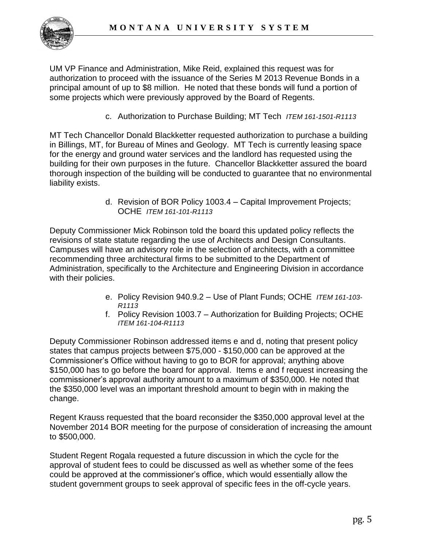

UM VP Finance and Administration, Mike Reid, explained this request was for authorization to proceed with the issuance of the Series M 2013 Revenue Bonds in a principal amount of up to \$8 million. He noted that these bonds will fund a portion of some projects which were previously approved by the Board of Regents.

c. Authorization to Purchase Building; MT Tech *ITEM 161-1501-R1113* 

MT Tech Chancellor Donald Blackketter requested authorization to purchase a building in Billings, MT, for Bureau of Mines and Geology. MT Tech is currently leasing space for the energy and ground water services and the landlord has requested using the building for their own purposes in the future. Chancellor Blackketter assured the board thorough inspection of the building will be conducted to guarantee that no environmental liability exists.

> d. Revision of BOR Policy 1003.4 – Capital Improvement Projects; OCHE *ITEM 161-101-R1113*

Deputy Commissioner Mick Robinson told the board this updated policy reflects the revisions of state statute regarding the use of Architects and Design Consultants. Campuses will have an advisory role in the selection of architects, with a committee recommending three architectural firms to be submitted to the Department of Administration, specifically to the Architecture and Engineering Division in accordance with their policies.

- e. Policy Revision 940.9.2 Use of Plant Funds; OCHE *ITEM 161-103- R1113*
- f. Policy Revision 1003.7 Authorization for Building Projects; OCHE *ITEM 161-104-R1113*

Deputy Commissioner Robinson addressed items e and d, noting that present policy states that campus projects between \$75,000 - \$150,000 can be approved at the Commissioner's Office without having to go to BOR for approval; anything above \$150,000 has to go before the board for approval. Items e and f request increasing the commissioner's approval authority amount to a maximum of \$350,000. He noted that the \$350,000 level was an important threshold amount to begin with in making the change.

Regent Krauss requested that the board reconsider the \$350,000 approval level at the November 2014 BOR meeting for the purpose of consideration of increasing the amount to \$500,000.

Student Regent Rogala requested a future discussion in which the cycle for the approval of student fees to could be discussed as well as whether some of the fees could be approved at the commissioner's office, which would essentially allow the student government groups to seek approval of specific fees in the off-cycle years.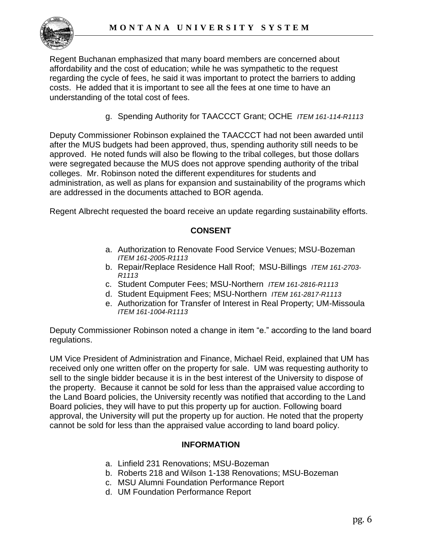Regent Buchanan emphasized that many board members are concerned about affordability and the cost of education; while he was sympathetic to the request regarding the cycle of fees, he said it was important to protect the barriers to adding costs. He added that it is important to see all the fees at one time to have an understanding of the total cost of fees.

g. Spending Authority for TAACCCT Grant; OCHE *ITEM 161-114-R1113*

Deputy Commissioner Robinson explained the TAACCCT had not been awarded until after the MUS budgets had been approved, thus, spending authority still needs to be approved. He noted funds will also be flowing to the tribal colleges, but those dollars were segregated because the MUS does not approve spending authority of the tribal colleges. Mr. Robinson noted the different expenditures for students and administration, as well as plans for expansion and sustainability of the programs which are addressed in the documents attached to BOR agenda.

Regent Albrecht requested the board receive an update regarding sustainability efforts.

# **CONSENT**

- a. Authorization to Renovate Food Service Venues; MSU-Bozeman *ITEM 161-2005-R1113*
- b. Repair/Replace Residence Hall Roof; MSU-Billings *ITEM 161-2703- R1113*
- c. Student Computer Fees; MSU-Northern *ITEM 161-2816-R1113*
- d. Student Equipment Fees; MSU-Northern *ITEM 161-2817-R1113*
- e. Authorization for Transfer of Interest in Real Property; UM-Missoula *ITEM 161-1004-R1113*

Deputy Commissioner Robinson noted a change in item "e." according to the land board regulations.

UM Vice President of Administration and Finance, Michael Reid, explained that UM has received only one written offer on the property for sale. UM was requesting authority to sell to the single bidder because it is in the best interest of the University to dispose of the property. Because it cannot be sold for less than the appraised value according to the Land Board policies, the University recently was notified that according to the Land Board policies, they will have to put this property up for auction. Following board approval, the University will put the property up for auction. He noted that the property cannot be sold for less than the appraised value according to land board policy.

#### **INFORMATION**

- a. Linfield 231 Renovations; MSU-Bozeman
- b. Roberts 218 and Wilson 1-138 Renovations; MSU-Bozeman
- c. MSU Alumni Foundation Performance Report
- d. UM Foundation Performance Report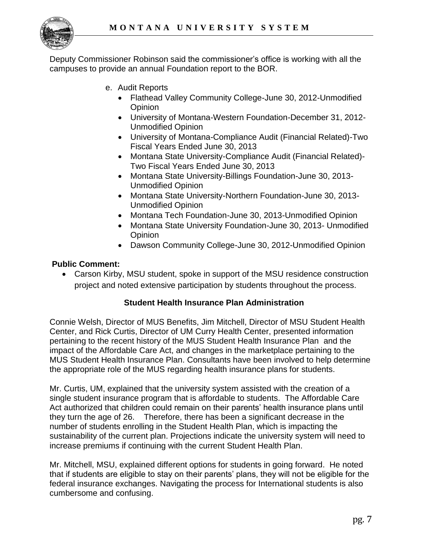

Deputy Commissioner Robinson said the commissioner's office is working with all the campuses to provide an annual Foundation report to the BOR.

- e. Audit Reports
	- Flathead Valley Community College-June 30, 2012-Unmodified **Opinion**
	- University of Montana-Western Foundation-December 31, 2012- Unmodified Opinion
	- University of Montana-Compliance Audit (Financial Related)-Two Fiscal Years Ended June 30, 2013
	- Montana State University-Compliance Audit (Financial Related)- Two Fiscal Years Ended June 30, 2013
	- Montana State University-Billings Foundation-June 30, 2013- Unmodified Opinion
	- Montana State University-Northern Foundation-June 30, 2013- Unmodified Opinion
	- Montana Tech Foundation-June 30, 2013-Unmodified Opinion
	- Montana State University Foundation-June 30, 2013- Unmodified Opinion
	- Dawson Community College-June 30, 2012-Unmodified Opinion

#### **Public Comment:**

 Carson Kirby, MSU student, spoke in support of the MSU residence construction project and noted extensive participation by students throughout the process.

## **Student Health Insurance Plan Administration**

Connie Welsh, Director of MUS Benefits, Jim Mitchell, Director of MSU Student Health Center, and Rick Curtis, Director of UM Curry Health Center, presented information pertaining to the recent history of the MUS Student Health Insurance Plan and the impact of the Affordable Care Act, and changes in the marketplace pertaining to the MUS Student Health Insurance Plan. Consultants have been involved to help determine the appropriate role of the MUS regarding health insurance plans for students.

Mr. Curtis, UM, explained that the university system assisted with the creation of a single student insurance program that is affordable to students. The Affordable Care Act authorized that children could remain on their parents' health insurance plans until they turn the age of 26. Therefore, there has been a significant decrease in the number of students enrolling in the Student Health Plan, which is impacting the sustainability of the current plan. Projections indicate the university system will need to increase premiums if continuing with the current Student Health Plan.

Mr. Mitchell, MSU, explained different options for students in going forward. He noted that if students are eligible to stay on their parents' plans, they will not be eligible for the federal insurance exchanges. Navigating the process for International students is also cumbersome and confusing.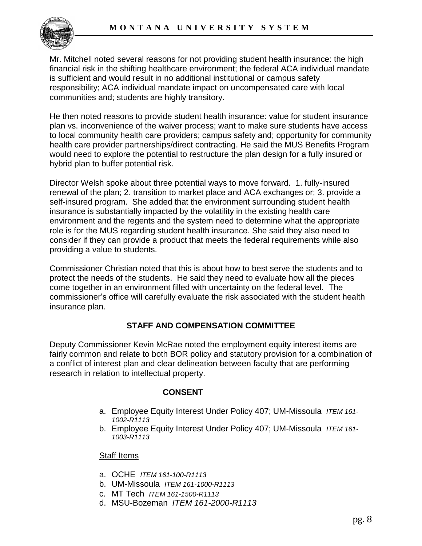

Mr. Mitchell noted several reasons for not providing student health insurance: the high financial risk in the shifting healthcare environment; the federal ACA individual mandate is sufficient and would result in no additional institutional or campus safety responsibility; ACA individual mandate impact on uncompensated care with local communities and; students are highly transitory.

He then noted reasons to provide student health insurance: value for student insurance plan vs. inconvenience of the waiver process; want to make sure students have access to local community health care providers; campus safety and; opportunity for community health care provider partnerships/direct contracting. He said the MUS Benefits Program would need to explore the potential to restructure the plan design for a fully insured or hybrid plan to buffer potential risk.

Director Welsh spoke about three potential ways to move forward. 1. fully-insured renewal of the plan; 2. transition to market place and ACA exchanges or; 3. provide a self-insured program. She added that the environment surrounding student health insurance is substantially impacted by the volatility in the existing health care environment and the regents and the system need to determine what the appropriate role is for the MUS regarding student health insurance. She said they also need to consider if they can provide a product that meets the federal requirements while also providing a value to students.

Commissioner Christian noted that this is about how to best serve the students and to protect the needs of the students. He said they need to evaluate how all the pieces come together in an environment filled with uncertainty on the federal level. The commissioner's office will carefully evaluate the risk associated with the student health insurance plan.

# **STAFF AND COMPENSATION COMMITTEE**

Deputy Commissioner Kevin McRae noted the employment equity interest items are fairly common and relate to both BOR policy and statutory provision for a combination of a conflict of interest plan and clear delineation between faculty that are performing research in relation to intellectual property.

#### **CONSENT**

- a. Employee Equity Interest Under Policy 407; UM-Missoula *ITEM 161- 1002-R1113*
- b. Employee Equity Interest Under Policy 407; UM-Missoula *ITEM 161- 1003-R1113*

#### Staff Items

- a. OCHE *ITEM 161-100-R1113*
- b. UM-Missoula *ITEM 161-1000-R1113*
- c. MT Tech *ITEM 161-1500-R1113*
- d. MSU-Bozeman *ITEM 161-2000-R1113*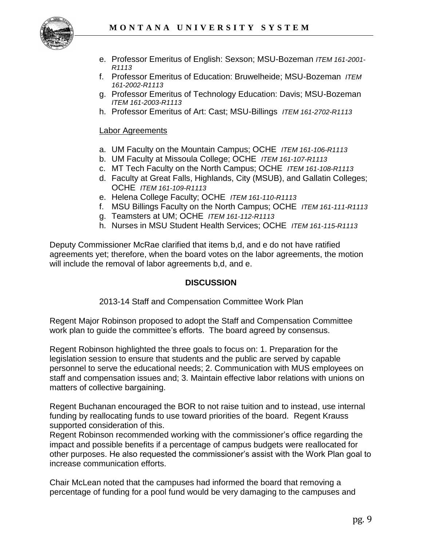

- e. Professor Emeritus of English: Sexson; MSU-Bozeman *ITEM 161-2001- R1113*
- f. Professor Emeritus of Education: Bruwelheide; MSU-Bozeman *ITEM 161-2002-R1113*
- g. Professor Emeritus of Technology Education: Davis; MSU-Bozeman *ITEM 161-2003-R1113*
- h. Professor Emeritus of Art: Cast; MSU-Billings *ITEM 161-2702-R1113*

#### Labor Agreements

- a. UM Faculty on the Mountain Campus; OCHE *ITEM 161-106-R1113*
- b. UM Faculty at Missoula College; OCHE *ITEM 161-107-R1113*
- c. MT Tech Faculty on the North Campus; OCHE *ITEM 161-108-R1113*
- d. Faculty at Great Falls, Highlands, City (MSUB), and Gallatin Colleges; OCHE *ITEM 161-109-R1113*
- e. Helena College Faculty; OCHE *ITEM 161-110-R1113*
- f. MSU Billings Faculty on the North Campus; OCHE *ITEM 161-111-R1113*
- g. Teamsters at UM; OCHE *ITEM 161-112-R1113*
- h. Nurses in MSU Student Health Services; OCHE *ITEM 161-115-R1113*

Deputy Commissioner McRae clarified that items b,d, and e do not have ratified agreements yet; therefore, when the board votes on the labor agreements, the motion will include the removal of labor agreements b,d, and e.

#### **DISCUSSION**

2013-14 Staff and Compensation Committee Work Plan

Regent Major Robinson proposed to adopt the Staff and Compensation Committee work plan to guide the committee's efforts. The board agreed by consensus.

Regent Robinson highlighted the three goals to focus on: 1. Preparation for the legislation session to ensure that students and the public are served by capable personnel to serve the educational needs; 2. Communication with MUS employees on staff and compensation issues and; 3. Maintain effective labor relations with unions on matters of collective bargaining.

Regent Buchanan encouraged the BOR to not raise tuition and to instead, use internal funding by reallocating funds to use toward priorities of the board. Regent Krauss supported consideration of this.

Regent Robinson recommended working with the commissioner's office regarding the impact and possible benefits if a percentage of campus budgets were reallocated for other purposes. He also requested the commissioner's assist with the Work Plan goal to increase communication efforts.

Chair McLean noted that the campuses had informed the board that removing a percentage of funding for a pool fund would be very damaging to the campuses and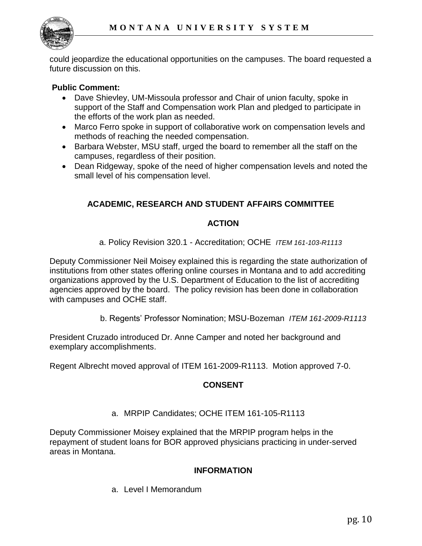

could jeopardize the educational opportunities on the campuses. The board requested a future discussion on this.

## **Public Comment:**

- Dave Shievley, UM-Missoula professor and Chair of union faculty, spoke in support of the Staff and Compensation work Plan and pledged to participate in the efforts of the work plan as needed.
- Marco Ferro spoke in support of collaborative work on compensation levels and methods of reaching the needed compensation.
- Barbara Webster, MSU staff, urged the board to remember all the staff on the campuses, regardless of their position.
- Dean Ridgeway, spoke of the need of higher compensation levels and noted the small level of his compensation level.

## **ACADEMIC, RESEARCH AND STUDENT AFFAIRS COMMITTEE**

## **ACTION**

a. Policy Revision 320.1 - Accreditation; OCHE *ITEM 161-103-R1113* 

Deputy Commissioner Neil Moisey explained this is regarding the state authorization of institutions from other states offering online courses in Montana and to add accrediting organizations approved by the U.S. Department of Education to the list of accrediting agencies approved by the board. The policy revision has been done in collaboration with campuses and OCHE staff.

b. Regents' Professor Nomination; MSU-Bozeman *ITEM 161-2009-R1113*

President Cruzado introduced Dr. Anne Camper and noted her background and exemplary accomplishments.

Regent Albrecht moved approval of ITEM 161-2009-R1113. Motion approved 7-0.

## **CONSENT**

a. MRPIP Candidates; OCHE ITEM 161-105-R1113

Deputy Commissioner Moisey explained that the MRPIP program helps in the repayment of student loans for BOR approved physicians practicing in under-served areas in Montana.

#### **INFORMATION**

a. Level I Memorandum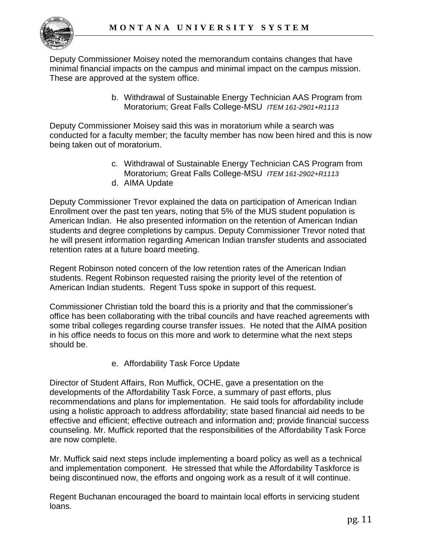

Deputy Commissioner Moisey noted the memorandum contains changes that have minimal financial impacts on the campus and minimal impact on the campus mission. These are approved at the system office.

> b. Withdrawal of Sustainable Energy Technician AAS Program from Moratorium; Great Falls College-MSU *ITEM 161-2901+R1113*

Deputy Commissioner Moisey said this was in moratorium while a search was conducted for a faculty member; the faculty member has now been hired and this is now being taken out of moratorium.

- c. Withdrawal of Sustainable Energy Technician CAS Program from Moratorium; Great Falls College-MSU *ITEM 161-2902+R1113*
- d. AIMA Update

Deputy Commissioner Trevor explained the data on participation of American Indian Enrollment over the past ten years, noting that 5% of the MUS student population is American Indian. He also presented information on the retention of American Indian students and degree completions by campus. Deputy Commissioner Trevor noted that he will present information regarding American Indian transfer students and associated retention rates at a future board meeting.

Regent Robinson noted concern of the low retention rates of the American Indian students. Regent Robinson requested raising the priority level of the retention of American Indian students. Regent Tuss spoke in support of this request.

Commissioner Christian told the board this is a priority and that the commissioner's office has been collaborating with the tribal councils and have reached agreements with some tribal colleges regarding course transfer issues. He noted that the AIMA position in his office needs to focus on this more and work to determine what the next steps should be.

e. Affordability Task Force Update

Director of Student Affairs, Ron Muffick, OCHE, gave a presentation on the developments of the Affordability Task Force, a summary of past efforts, plus recommendations and plans for implementation. He said tools for affordability include using a holistic approach to address affordability; state based financial aid needs to be effective and efficient; effective outreach and information and; provide financial success counseling. Mr. Muffick reported that the responsibilities of the Affordability Task Force are now complete.

Mr. Muffick said next steps include implementing a board policy as well as a technical and implementation component. He stressed that while the Affordability Taskforce is being discontinued now, the efforts and ongoing work as a result of it will continue.

Regent Buchanan encouraged the board to maintain local efforts in servicing student loans.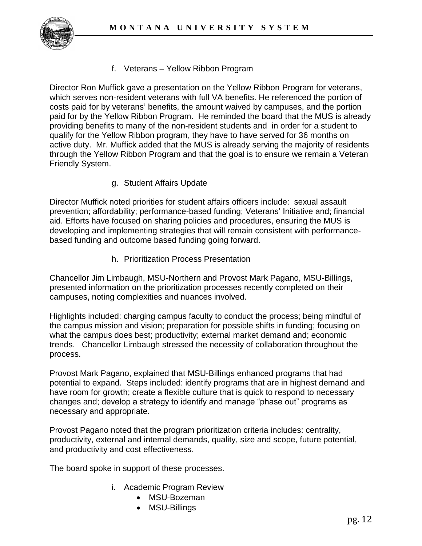

f. Veterans – Yellow Ribbon Program

Director Ron Muffick gave a presentation on the Yellow Ribbon Program for veterans, which serves non-resident veterans with full VA benefits. He referenced the portion of costs paid for by veterans' benefits, the amount waived by campuses, and the portion paid for by the Yellow Ribbon Program. He reminded the board that the MUS is already providing benefits to many of the non-resident students and in order for a student to qualify for the Yellow Ribbon program, they have to have served for 36 months on active duty. Mr. Muffick added that the MUS is already serving the majority of residents through the Yellow Ribbon Program and that the goal is to ensure we remain a Veteran Friendly System.

g. Student Affairs Update

Director Muffick noted priorities for student affairs officers include: sexual assault prevention; affordability; performance-based funding; Veterans' Initiative and; financial aid. Efforts have focused on sharing policies and procedures, ensuring the MUS is developing and implementing strategies that will remain consistent with performancebased funding and outcome based funding going forward.

h. Prioritization Process Presentation

Chancellor Jim Limbaugh, MSU-Northern and Provost Mark Pagano, MSU-Billings, presented information on the prioritization processes recently completed on their campuses, noting complexities and nuances involved.

Highlights included: charging campus faculty to conduct the process; being mindful of the campus mission and vision; preparation for possible shifts in funding; focusing on what the campus does best; productivity; external market demand and; economic trends. Chancellor Limbaugh stressed the necessity of collaboration throughout the process.

Provost Mark Pagano, explained that MSU-Billings enhanced programs that had potential to expand. Steps included: identify programs that are in highest demand and have room for growth; create a flexible culture that is quick to respond to necessary changes and; develop a strategy to identify and manage "phase out" programs as necessary and appropriate.

Provost Pagano noted that the program prioritization criteria includes: centrality, productivity, external and internal demands, quality, size and scope, future potential, and productivity and cost effectiveness.

The board spoke in support of these processes.

- i. Academic Program Review
	- MSU-Bozeman
	- MSU-Billings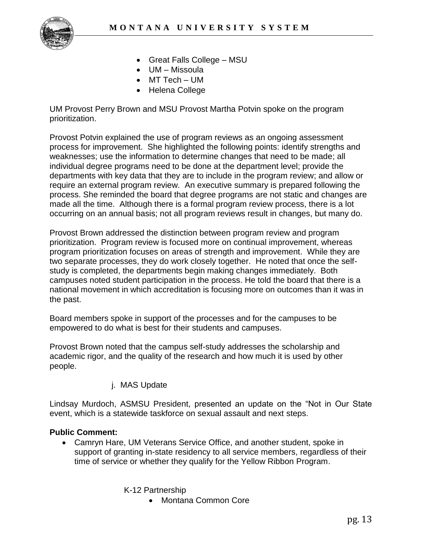

- Great Falls College MSU
- UM Missoula
- MT Tech UM
- Helena College

UM Provost Perry Brown and MSU Provost Martha Potvin spoke on the program prioritization.

Provost Potvin explained the use of program reviews as an ongoing assessment process for improvement. She highlighted the following points: identify strengths and weaknesses; use the information to determine changes that need to be made; all individual degree programs need to be done at the department level; provide the departments with key data that they are to include in the program review; and allow or require an external program review. An executive summary is prepared following the process. She reminded the board that degree programs are not static and changes are made all the time. Although there is a formal program review process, there is a lot occurring on an annual basis; not all program reviews result in changes, but many do.

Provost Brown addressed the distinction between program review and program prioritization. Program review is focused more on continual improvement, whereas program prioritization focuses on areas of strength and improvement. While they are two separate processes, they do work closely together. He noted that once the selfstudy is completed, the departments begin making changes immediately. Both campuses noted student participation in the process. He told the board that there is a national movement in which accreditation is focusing more on outcomes than it was in the past.

Board members spoke in support of the processes and for the campuses to be empowered to do what is best for their students and campuses.

Provost Brown noted that the campus self-study addresses the scholarship and academic rigor, and the quality of the research and how much it is used by other people.

j. MAS Update

Lindsay Murdoch, ASMSU President, presented an update on the "Not in Our State event, which is a statewide taskforce on sexual assault and next steps.

#### **Public Comment:**

 Camryn Hare, UM Veterans Service Office, and another student, spoke in support of granting in-state residency to all service members, regardless of their time of service or whether they qualify for the Yellow Ribbon Program.

K-12 Partnership

• Montana Common Core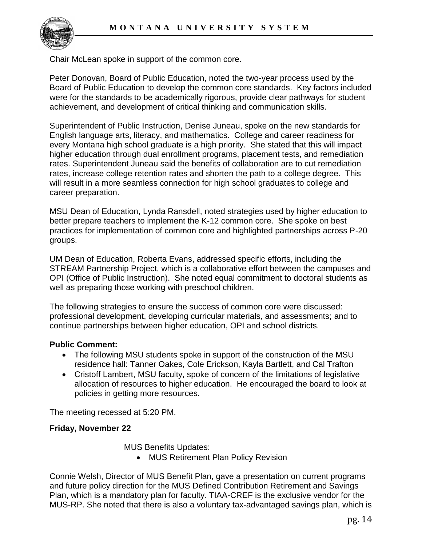

Chair McLean spoke in support of the common core.

Peter Donovan, Board of Public Education, noted the two-year process used by the Board of Public Education to develop the common core standards. Key factors included were for the standards to be academically rigorous, provide clear pathways for student achievement, and development of critical thinking and communication skills.

Superintendent of Public Instruction, Denise Juneau, spoke on the new standards for English language arts, literacy, and mathematics. College and career readiness for every Montana high school graduate is a high priority. She stated that this will impact higher education through dual enrollment programs, placement tests, and remediation rates. Superintendent Juneau said the benefits of collaboration are to cut remediation rates, increase college retention rates and shorten the path to a college degree. This will result in a more seamless connection for high school graduates to college and career preparation.

MSU Dean of Education, Lynda Ransdell, noted strategies used by higher education to better prepare teachers to implement the K-12 common core. She spoke on best practices for implementation of common core and highlighted partnerships across P-20 groups.

UM Dean of Education, Roberta Evans, addressed specific efforts, including the STREAM Partnership Project, which is a collaborative effort between the campuses and OPI (Office of Public Instruction). She noted equal commitment to doctoral students as well as preparing those working with preschool children.

The following strategies to ensure the success of common core were discussed: professional development, developing curricular materials, and assessments; and to continue partnerships between higher education, OPI and school districts.

#### **Public Comment:**

- The following MSU students spoke in support of the construction of the MSU residence hall: Tanner Oakes, Cole Erickson, Kayla Bartlett, and Cal Trafton
- Cristoff Lambert, MSU faculty, spoke of concern of the limitations of legislative allocation of resources to higher education. He encouraged the board to look at policies in getting more resources.

The meeting recessed at 5:20 PM.

#### **Friday, November 22**

MUS Benefits Updates:

• MUS Retirement Plan Policy Revision

Connie Welsh, Director of MUS Benefit Plan, gave a presentation on current programs and future policy direction for the MUS Defined Contribution Retirement and Savings Plan, which is a mandatory plan for faculty. TIAA-CREF is the exclusive vendor for the MUS-RP. She noted that there is also a voluntary tax-advantaged savings plan, which is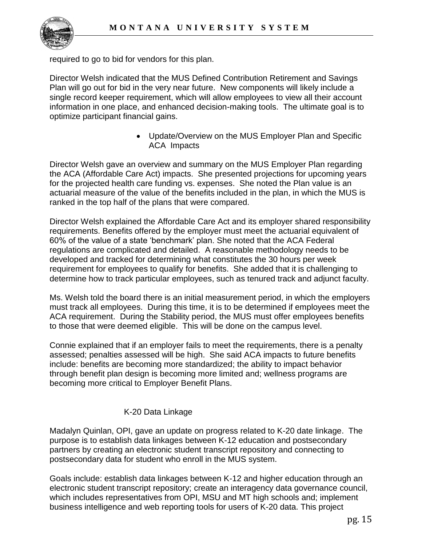

required to go to bid for vendors for this plan.

Director Welsh indicated that the MUS Defined Contribution Retirement and Savings Plan will go out for bid in the very near future. New components will likely include a single record keeper requirement, which will allow employees to view all their account information in one place, and enhanced decision-making tools. The ultimate goal is to optimize participant financial gains.

> Update/Overview on the MUS Employer Plan and Specific ACA Impacts

Director Welsh gave an overview and summary on the MUS Employer Plan regarding the ACA (Affordable Care Act) impacts. She presented projections for upcoming years for the projected health care funding vs. expenses. She noted the Plan value is an actuarial measure of the value of the benefits included in the plan, in which the MUS is ranked in the top half of the plans that were compared.

Director Welsh explained the Affordable Care Act and its employer shared responsibility requirements. Benefits offered by the employer must meet the actuarial equivalent of 60% of the value of a state 'benchmark' plan. She noted that the ACA Federal regulations are complicated and detailed. A reasonable methodology needs to be developed and tracked for determining what constitutes the 30 hours per week requirement for employees to qualify for benefits. She added that it is challenging to determine how to track particular employees, such as tenured track and adjunct faculty.

Ms. Welsh told the board there is an initial measurement period, in which the employers must track all employees. During this time, it is to be determined if employees meet the ACA requirement. During the Stability period, the MUS must offer employees benefits to those that were deemed eligible. This will be done on the campus level.

Connie explained that if an employer fails to meet the requirements, there is a penalty assessed; penalties assessed will be high. She said ACA impacts to future benefits include: benefits are becoming more standardized; the ability to impact behavior through benefit plan design is becoming more limited and; wellness programs are becoming more critical to Employer Benefit Plans.

## K-20 Data Linkage

Madalyn Quinlan, OPI, gave an update on progress related to K-20 date linkage. The purpose is to establish data linkages between K-12 education and postsecondary partners by creating an electronic student transcript repository and connecting to postsecondary data for student who enroll in the MUS system.

Goals include: establish data linkages between K-12 and higher education through an electronic student transcript repository; create an interagency data governance council, which includes representatives from OPI, MSU and MT high schools and; implement business intelligence and web reporting tools for users of K-20 data. This project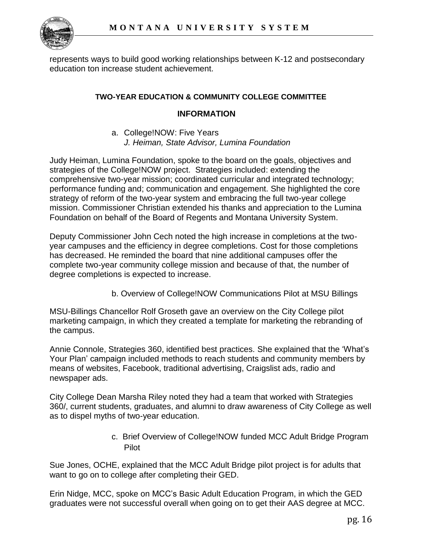

represents ways to build good working relationships between K-12 and postsecondary education ton increase student achievement.

#### **TWO-YEAR EDUCATION & COMMUNITY COLLEGE COMMITTEE**

#### **INFORMATION**

a. College!NOW: Five Years *J. Heiman, State Advisor, Lumina Foundation* 

Judy Heiman, Lumina Foundation, spoke to the board on the goals, objectives and strategies of the College!NOW project. Strategies included: extending the comprehensive two-year mission; coordinated curricular and integrated technology; performance funding and; communication and engagement. She highlighted the core strategy of reform of the two-year system and embracing the full two-year college mission. Commissioner Christian extended his thanks and appreciation to the Lumina Foundation on behalf of the Board of Regents and Montana University System.

Deputy Commissioner John Cech noted the high increase in completions at the twoyear campuses and the efficiency in degree completions. Cost for those completions has decreased. He reminded the board that nine additional campuses offer the complete two-year community college mission and because of that, the number of degree completions is expected to increase.

b. Overview of College!NOW Communications Pilot at MSU Billings

MSU-Billings Chancellor Rolf Groseth gave an overview on the City College pilot marketing campaign, in which they created a template for marketing the rebranding of the campus.

Annie Connole, Strategies 360, identified best practices. She explained that the 'What's Your Plan' campaign included methods to reach students and community members by means of websites, Facebook, traditional advertising, Craigslist ads, radio and newspaper ads.

City College Dean Marsha Riley noted they had a team that worked with Strategies 360/, current students, graduates, and alumni to draw awareness of City College as well as to dispel myths of two-year education.

> c. Brief Overview of College!NOW funded MCC Adult Bridge Program Pilot

Sue Jones, OCHE, explained that the MCC Adult Bridge pilot project is for adults that want to go on to college after completing their GED.

Erin Nidge, MCC, spoke on MCC's Basic Adult Education Program, in which the GED graduates were not successful overall when going on to get their AAS degree at MCC.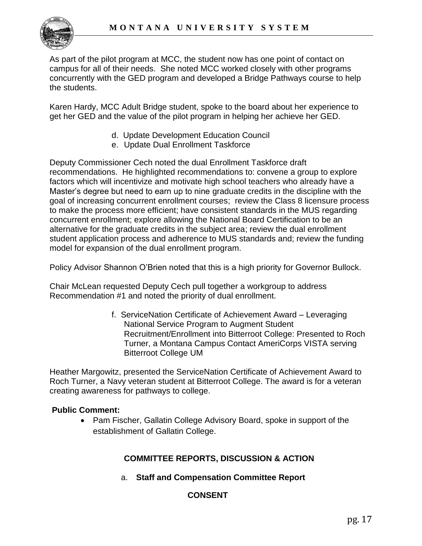

As part of the pilot program at MCC, the student now has one point of contact on campus for all of their needs. She noted MCC worked closely with other programs concurrently with the GED program and developed a Bridge Pathways course to help the students.

Karen Hardy, MCC Adult Bridge student, spoke to the board about her experience to get her GED and the value of the pilot program in helping her achieve her GED.

- d. Update Development Education Council
- e. Update Dual Enrollment Taskforce

Deputy Commissioner Cech noted the dual Enrollment Taskforce draft recommendations. He highlighted recommendations to: convene a group to explore factors which will incentivize and motivate high school teachers who already have a Master's degree but need to earn up to nine graduate credits in the discipline with the goal of increasing concurrent enrollment courses; review the Class 8 licensure process to make the process more efficient; have consistent standards in the MUS regarding concurrent enrollment; explore allowing the National Board Certification to be an alternative for the graduate credits in the subject area; review the dual enrollment student application process and adherence to MUS standards and; review the funding model for expansion of the dual enrollment program.

Policy Advisor Shannon O'Brien noted that this is a high priority for Governor Bullock.

Chair McLean requested Deputy Cech pull together a workgroup to address Recommendation #1 and noted the priority of dual enrollment.

> f. ServiceNation Certificate of Achievement Award – Leveraging National Service Program to Augment Student Recruitment/Enrollment into Bitterroot College: Presented to Roch Turner, a Montana Campus Contact AmeriCorps VISTA serving Bitterroot College UM

Heather Margowitz, presented the ServiceNation Certificate of Achievement Award to Roch Turner, a Navy veteran student at Bitterroot College. The award is for a veteran creating awareness for pathways to college.

#### **Public Comment:**

• Pam Fischer, Gallatin College Advisory Board, spoke in support of the establishment of Gallatin College.

# **COMMITTEE REPORTS, DISCUSSION & ACTION**

a. **Staff and Compensation Committee Report** 

## **CONSENT**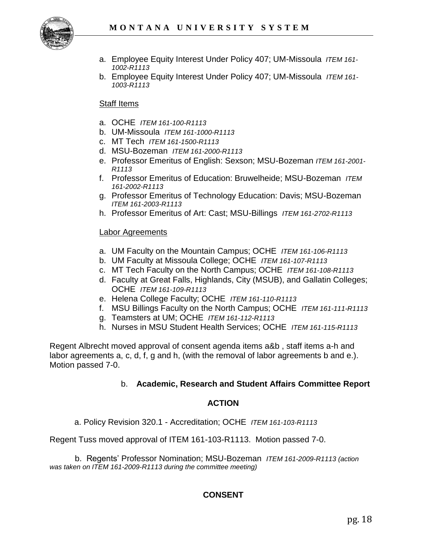

- a. Employee Equity Interest Under Policy 407; UM-Missoula *ITEM 161- 1002-R1113*
- b. Employee Equity Interest Under Policy 407; UM-Missoula *ITEM 161- 1003-R1113*

#### Staff Items

- a. OCHE *ITEM 161-100-R1113*
- b. UM-Missoula *ITEM 161-1000-R1113*
- c. MT Tech *ITEM 161-1500-R1113*
- d. MSU-Bozeman *ITEM 161-2000-R1113*
- e. Professor Emeritus of English: Sexson; MSU-Bozeman *ITEM 161-2001- R1113*
- f. Professor Emeritus of Education: Bruwelheide; MSU-Bozeman *ITEM 161-2002-R1113*
- g. Professor Emeritus of Technology Education: Davis; MSU-Bozeman *ITEM 161-2003-R1113*
- h. Professor Emeritus of Art: Cast; MSU-Billings *ITEM 161-2702-R1113*

#### Labor Agreements

- a. UM Faculty on the Mountain Campus; OCHE *ITEM 161-106-R1113*
- b. UM Faculty at Missoula College; OCHE *ITEM 161-107-R1113*
- c. MT Tech Faculty on the North Campus; OCHE *ITEM 161-108-R1113*
- d. Faculty at Great Falls, Highlands, City (MSUB), and Gallatin Colleges; OCHE *ITEM 161-109-R1113*
- e. Helena College Faculty; OCHE *ITEM 161-110-R1113*
- f. MSU Billings Faculty on the North Campus; OCHE *ITEM 161-111-R1113*
- g. Teamsters at UM; OCHE *ITEM 161-112-R1113*
- h. Nurses in MSU Student Health Services; OCHE *ITEM 161-115-R1113*

Regent Albrecht moved approval of consent agenda items a&b , staff items a-h and labor agreements a, c, d, f, g and h, (with the removal of labor agreements b and e.). Motion passed 7-0.

#### b. **Academic, Research and Student Affairs Committee Report**

#### **ACTION**

a. Policy Revision 320.1 - Accreditation; OCHE *ITEM 161-103-R1113* 

Regent Tuss moved approval of ITEM 161-103-R1113. Motion passed 7-0.

 b. Regents' Professor Nomination; MSU-Bozeman *ITEM 161-2009-R1113 (action was taken on ITEM 161-2009-R1113 during the committee meeting)*

# **CONSENT**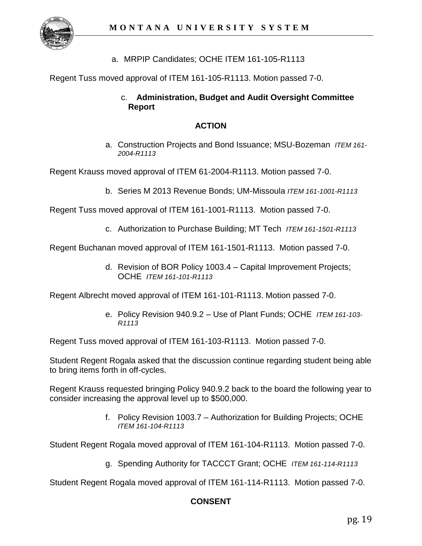

a. MRPIP Candidates; OCHE ITEM 161-105-R1113

Regent Tuss moved approval of ITEM 161-105-R1113. Motion passed 7-0.

#### c. **Administration, Budget and Audit Oversight Committee Report**

#### **ACTION**

a. Construction Projects and Bond Issuance; MSU-Bozeman *ITEM 161- 2004-R1113*

Regent Krauss moved approval of ITEM 61-2004-R1113. Motion passed 7-0.

b. Series M 2013 Revenue Bonds; UM-Missoula *ITEM 161-1001-R1113* 

Regent Tuss moved approval of ITEM 161-1001-R1113. Motion passed 7-0.

c. Authorization to Purchase Building; MT Tech *ITEM 161-1501-R1113* 

Regent Buchanan moved approval of ITEM 161-1501-R1113. Motion passed 7-0.

d. Revision of BOR Policy 1003.4 – Capital Improvement Projects; OCHE *ITEM 161-101-R1113* 

Regent Albrecht moved approval of ITEM 161-101-R1113. Motion passed 7-0.

e. Policy Revision 940.9.2 – Use of Plant Funds; OCHE *ITEM 161-103- R1113* 

Regent Tuss moved approval of ITEM 161-103-R1113. Motion passed 7-0.

Student Regent Rogala asked that the discussion continue regarding student being able to bring items forth in off-cycles.

Regent Krauss requested bringing Policy 940.9.2 back to the board the following year to consider increasing the approval level up to \$500,000.

> f. Policy Revision 1003.7 – Authorization for Building Projects; OCHE *ITEM 161-104-R1113*

Student Regent Rogala moved approval of ITEM 161-104-R1113. Motion passed 7-0.

g. Spending Authority for TACCCT Grant; OCHE *ITEM 161-114-R1113*

Student Regent Rogala moved approval of ITEM 161-114-R1113. Motion passed 7-0.

## **CONSENT**